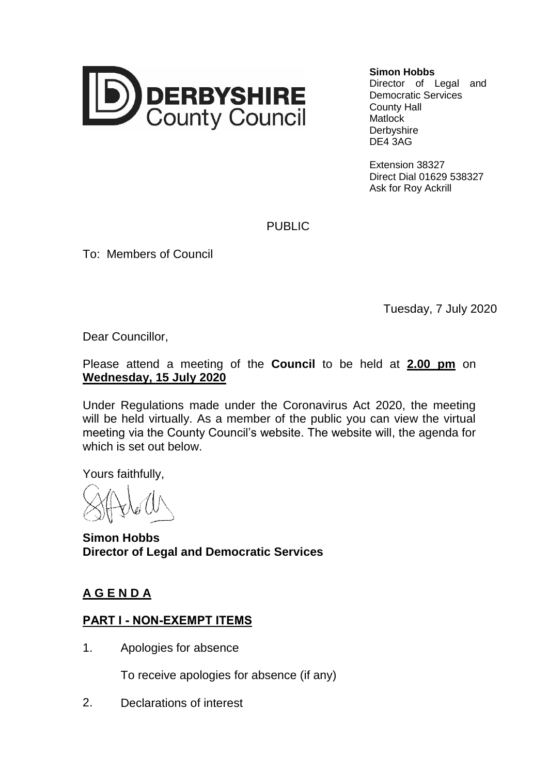

### **Simon Hobbs**

Director of Legal and Democratic Services County Hall **Matlock Derbyshire** DE4 3AG

Extension 38327 Direct Dial 01629 538327 Ask for Roy Ackrill

PUBLIC

To: Members of Council

Tuesday, 7 July 2020

Dear Councillor,

## Please attend a meeting of the **Council** to be held at **2.00 pm** on **Wednesday, 15 July 2020**

Under Regulations made under the Coronavirus Act 2020, the meeting will be held virtually. As a member of the public you can view the virtual meeting via the County Council's website. The website will, the agenda for which is set out below.

Yours faithfully,

**Simon Hobbs Director of Legal and Democratic Services**

# **A G E N D A**

# **PART I - NON-EXEMPT ITEMS**

1. Apologies for absence

To receive apologies for absence (if any)

2. Declarations of interest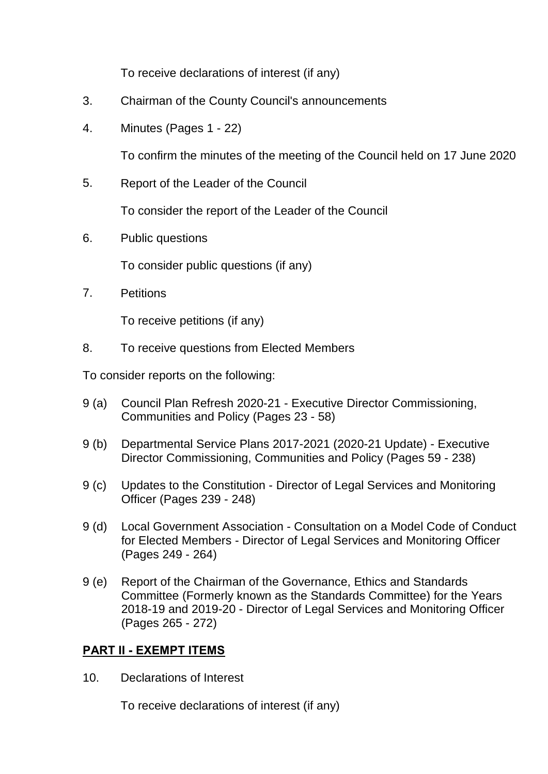To receive declarations of interest (if any)

- 3. Chairman of the County Council's announcements
- 4. Minutes (Pages 1 22)

To confirm the minutes of the meeting of the Council held on 17 June 2020

5. Report of the Leader of the Council

To consider the report of the Leader of the Council

6. Public questions

To consider public questions (if any)

7. Petitions

To receive petitions (if any)

8. To receive questions from Elected Members

To consider reports on the following:

- 9 (a) Council Plan Refresh 2020-21 Executive Director Commissioning, Communities and Policy (Pages 23 - 58)
- 9 (b) Departmental Service Plans 2017-2021 (2020-21 Update) Executive Director Commissioning, Communities and Policy (Pages 59 - 238)
- 9 (c) Updates to the Constitution Director of Legal Services and Monitoring Officer (Pages 239 - 248)
- 9 (d) Local Government Association Consultation on a Model Code of Conduct for Elected Members - Director of Legal Services and Monitoring Officer (Pages 249 - 264)
- 9 (e) Report of the Chairman of the Governance, Ethics and Standards Committee (Formerly known as the Standards Committee) for the Years 2018-19 and 2019-20 - Director of Legal Services and Monitoring Officer (Pages 265 - 272)

## **PART II - EXEMPT ITEMS**

10. Declarations of Interest

To receive declarations of interest (if any)